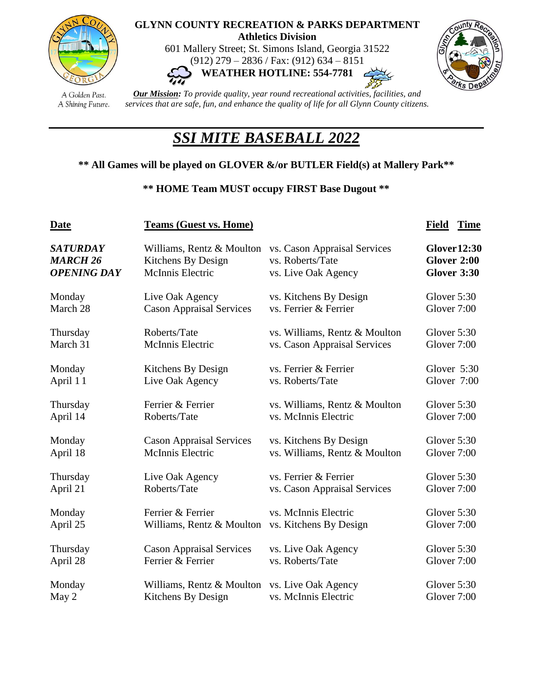

## **GLYNN COUNTY RECREATION & PARKS DEPARTMENT Athletics Division**

601 Mallery Street; St. Simons Island, Georgia 31522 (912) 279 – 2836 / Fax: (912) 634 – 8151 **WEATHER HOTLINE: 554-7781**



A Golden Past. A Shining Future.

*Our Mission: To provide quality, year round recreational activities, facilities, and services that are safe, fun, and enhance the quality of life for all Glynn County citizens.*

## *SSI MITE BASEBALL 2022*

## **\*\* All Games will be played on GLOVER &/or BUTLER Field(s) at Mallery Park\*\***

## **\*\* HOME Team MUST occupy FIRST Base Dugout \*\***

| <b>Date</b>        | <b>Teams (Guest vs. Home)</b>   | <b>Field</b><br><b>Time</b>   |                     |  |
|--------------------|---------------------------------|-------------------------------|---------------------|--|
| <b>SATURDAY</b>    | Williams, Rentz & Moulton       | vs. Cason Appraisal Services  | <b>Glover 12:30</b> |  |
| <b>MARCH 26</b>    | Kitchens By Design              | vs. Roberts/Tate              | Glover 2:00         |  |
| <b>OPENING DAY</b> | McInnis Electric                | vs. Live Oak Agency           | <b>Glover 3:30</b>  |  |
| Monday             | Live Oak Agency                 | vs. Kitchens By Design        | Glover 5:30         |  |
| March 28           | <b>Cason Appraisal Services</b> | vs. Ferrier & Ferrier         | Glover 7:00         |  |
| Thursday           | Roberts/Tate                    | vs. Williams, Rentz & Moulton | Glover 5:30         |  |
| March 31           | McInnis Electric                | vs. Cason Appraisal Services  | Glover 7:00         |  |
| Monday             | Kitchens By Design              | vs. Ferrier & Ferrier         | Glover 5:30         |  |
| April 11           | Live Oak Agency                 | vs. Roberts/Tate              | Glover 7:00         |  |
| Thursday           | Ferrier & Ferrier               | vs. Williams, Rentz & Moulton | Glover 5:30         |  |
| April 14           | Roberts/Tate                    | vs. McInnis Electric          | Glover 7:00         |  |
| Monday             | <b>Cason Appraisal Services</b> | vs. Kitchens By Design        | Glover 5:30         |  |
| April 18           | McInnis Electric                | vs. Williams, Rentz & Moulton | Glover 7:00         |  |
| Thursday           | Live Oak Agency                 | vs. Ferrier & Ferrier         | Glover 5:30         |  |
| April 21           | Roberts/Tate                    | vs. Cason Appraisal Services  | Glover 7:00         |  |
| Monday             | Ferrier & Ferrier               | vs. McInnis Electric          | Glover 5:30         |  |
| April 25           | Williams, Rentz & Moulton       | vs. Kitchens By Design        | Glover 7:00         |  |
| Thursday           | <b>Cason Appraisal Services</b> | vs. Live Oak Agency           | Glover 5:30         |  |
| April 28           | Ferrier & Ferrier               | vs. Roberts/Tate              | Glover 7:00         |  |
| Monday             | Williams, Rentz & Moulton       | vs. Live Oak Agency           | Glover 5:30         |  |
| May 2              | Kitchens By Design              | vs. McInnis Electric          | Glover 7:00         |  |